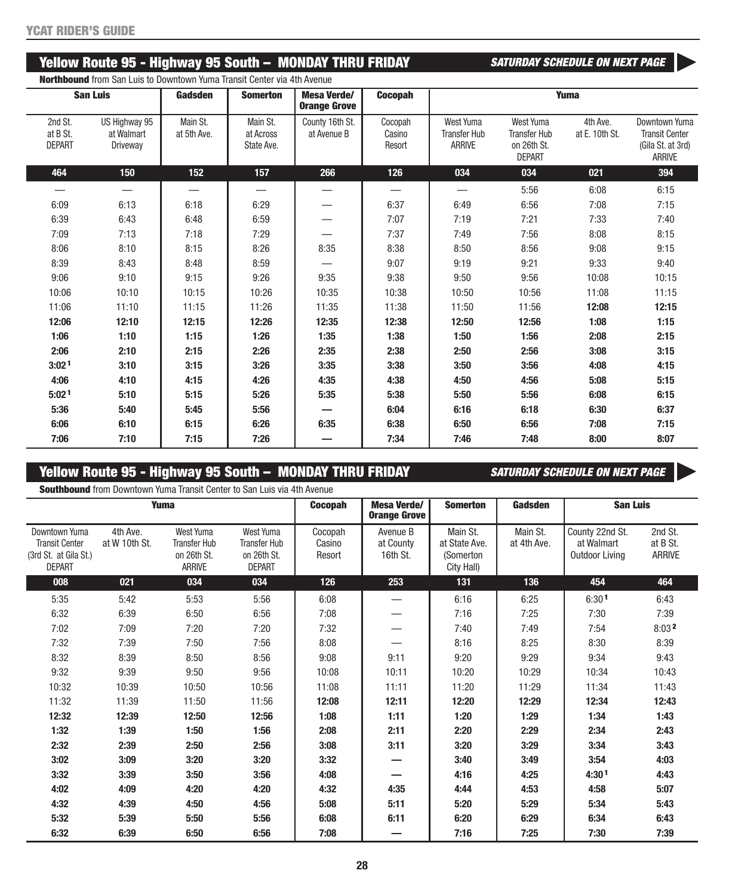## Yellow Route 95 - Highway 95 South - MONDAY THRU FRIDAY **SATURE ALL SATURDAY SCHEDULE ON NEXT PAGE**

**Northbound** from San Luis to Downtown Yuma Transit Center via 4th Avenue

| <b>San Luis</b>                      |                                         | Gadsden                 | <b>Somerton</b>                     | <b>Mesa Verde/</b><br><b>Orange Grove</b> | Cocopah                     | Yuma                                              |                                                                  |                            |                                                                              |  |
|--------------------------------------|-----------------------------------------|-------------------------|-------------------------------------|-------------------------------------------|-----------------------------|---------------------------------------------------|------------------------------------------------------------------|----------------------------|------------------------------------------------------------------------------|--|
| 2nd St.<br>at B St.<br><b>DEPART</b> | US Highway 95<br>at Walmart<br>Driveway | Main St.<br>at 5th Ave. | Main St.<br>at Across<br>State Ave. | County 16th St.<br>at Avenue B            | Cocopah<br>Casino<br>Resort | West Yuma<br><b>Transfer Hub</b><br><b>ARRIVE</b> | West Yuma<br><b>Transfer Hub</b><br>on 26th St.<br><b>DEPART</b> | 4th Ave.<br>at E. 10th St. | Downtown Yuma<br><b>Transit Center</b><br>(Gila St. at 3rd)<br><b>ARRIVE</b> |  |
| 464                                  | 150                                     | 152                     | 157                                 | 266                                       | 126                         | 034                                               | 034                                                              | 021                        | 394                                                                          |  |
|                                      | $\overline{\phantom{0}}$                |                         |                                     | —                                         |                             |                                                   | 5:56                                                             | 6:08                       | 6:15                                                                         |  |
| 6:09                                 | 6:13                                    | 6:18                    | 6:29                                |                                           | 6:37                        | 6:49                                              | 6:56                                                             | 7:08                       | 7:15                                                                         |  |
| 6:39                                 | 6:43                                    | 6:48                    | 6:59                                |                                           | 7:07                        | 7:19                                              | 7:21                                                             | 7:33                       | 7:40                                                                         |  |
| 7:09                                 | 7:13                                    | 7:18                    | 7:29                                |                                           | 7:37                        | 7:49                                              | 7:56                                                             | 8:08                       | 8:15                                                                         |  |
| 8:06                                 | 8:10                                    | 8:15                    | 8:26                                | 8:35                                      | 8:38                        | 8:50                                              | 8:56                                                             | 9:08                       | 9:15                                                                         |  |
| 8:39                                 | 8:43                                    | 8:48                    | 8:59                                |                                           | 9:07                        | 9:19                                              | 9:21                                                             | 9:33                       | 9:40                                                                         |  |
| 9:06                                 | 9:10                                    | 9:15                    | 9:26                                | 9:35                                      | 9:38                        | 9:50                                              | 9:56                                                             | 10:08                      | 10:15                                                                        |  |
| 10:06                                | 10:10                                   | 10:15                   | 10:26                               | 10:35                                     | 10:38                       | 10:50                                             | 10:56                                                            | 11:08                      | 11:15                                                                        |  |
| 11:06                                | 11:10                                   | 11:15                   | 11:26                               | 11:35                                     | 11:38                       | 11:50                                             | 11:56                                                            | 12:08                      | 12:15                                                                        |  |
| 12:06                                | 12:10                                   | 12:15                   | 12:26                               | 12:35                                     | 12:38                       | 12:50                                             | 12:56                                                            | 1:08                       | 1:15                                                                         |  |
| 1:06                                 | 1:10                                    | 1:15                    | 1:26                                | 1:35                                      | 1:38                        | 1:50                                              | 1:56                                                             | 2:08                       | 2:15                                                                         |  |
| 2:06                                 | 2:10                                    | 2:15                    | 2:26                                | 2:35                                      | 2:38                        | 2:50                                              | 2:56                                                             | 3:08                       | 3:15                                                                         |  |
| 3:02 <sup>1</sup>                    | 3:10                                    | 3:15                    | 3:26                                | 3:35                                      | 3:38                        | 3:50                                              | 3:56                                                             | 4:08                       | 4:15                                                                         |  |
| 4:06                                 | 4:10                                    | 4:15                    | 4:26                                | 4:35                                      | 4:38                        | 4:50                                              | 4:56                                                             | 5:08                       | 5:15                                                                         |  |
| 5:02 <sup>1</sup>                    | 5:10                                    | 5:15                    | 5:26                                | 5:35                                      | 5:38                        | 5:50                                              | 5:56                                                             | 6:08                       | 6:15                                                                         |  |
| 5:36                                 | 5:40                                    | 5:45                    | 5:56                                |                                           | 6:04                        | 6:16                                              | 6:18                                                             | 6:30                       | 6:37                                                                         |  |
| 6:06                                 | 6:10                                    | 6:15                    | 6:26                                | 6:35                                      | 6:38                        | 6:50                                              | 6:56                                                             | 7:08                       | 7:15                                                                         |  |
| 7:06                                 | 7:10                                    | 7:15                    | 7:26                                |                                           | 7:34                        | 7:46                                              | 7:48                                                             | 8:00                       | 8:07                                                                         |  |

# **Yellow Route 95 - Highway 95 South - MONDAY THRU FRIDAY <b>SATURE ALL SATURDAY** SCHEDULE ON NEXT PAGE

 $\blacktriangleright$ 

 $\blacktriangleright$ 

**Southbound** from Downtown Yuma Transit Center to San Luis via 4th Avenue

| <b>Yuma</b>                                                                      |                           |                                                                  | <b>Cocopah</b>                                                   | <b>Mesa Verde/</b><br><b>Somerton</b><br><b>Orange Grove</b> |                                   | Gadsden                                              | <b>San Luis</b>         |                                                 |                               |
|----------------------------------------------------------------------------------|---------------------------|------------------------------------------------------------------|------------------------------------------------------------------|--------------------------------------------------------------|-----------------------------------|------------------------------------------------------|-------------------------|-------------------------------------------------|-------------------------------|
| Downtown Yuma<br><b>Transit Center</b><br>(3rd St. at Gila St.)<br><b>DEPART</b> | 4th Ave.<br>at W 10th St. | West Yuma<br><b>Transfer Hub</b><br>on 26th St.<br><b>ARRIVE</b> | West Yuma<br><b>Transfer Hub</b><br>on 26th St.<br><b>DEPART</b> | Cocopah<br>Casino<br>Resort                                  | Avenue B<br>at County<br>16th St. | Main St.<br>at State Ave.<br>(Somerton<br>City Hall) | Main St.<br>at 4th Ave. | County 22nd St.<br>at Walmart<br>Outdoor Living | 2nd St.<br>at B St.<br>ARRIVE |
| 008                                                                              | 021                       | 034                                                              | 034                                                              | 126                                                          | 253                               | 131                                                  | 136                     | 454                                             | 464                           |
| 5:35                                                                             | 5:42                      | 5:53                                                             | 5:56                                                             | 6:08                                                         |                                   | 6:16                                                 | 6:25                    | 6:301                                           | 6:43                          |
| 6:32                                                                             | 6:39                      | 6:50                                                             | 6:56                                                             | 7:08                                                         |                                   | 7:16                                                 | 7:25                    | 7:30                                            | 7:39                          |
| 7:02                                                                             | 7:09                      | 7:20                                                             | 7:20                                                             | 7:32                                                         |                                   | 7:40                                                 | 7:49                    | 7:54                                            | 8:032                         |
| 7:32                                                                             | 7:39                      | 7:50                                                             | 7:56                                                             | 8:08                                                         |                                   | 8:16                                                 | 8:25                    | 8:30                                            | 8:39                          |
| 8:32                                                                             | 8:39                      | 8:50                                                             | 8:56                                                             | 9:08                                                         | 9:11                              | 9:20                                                 | 9:29                    | 9:34                                            | 9:43                          |
| 9:32                                                                             | 9:39                      | 9:50                                                             | 9:56                                                             | 10:08                                                        | 10:11                             | 10:20                                                | 10:29                   | 10:34                                           | 10:43                         |
| 10:32                                                                            | 10:39                     | 10:50                                                            | 10:56                                                            | 11:08                                                        | 11:11                             | 11:20                                                | 11:29                   | 11:34                                           | 11:43                         |
| 11:32                                                                            | 11:39                     | 11:50                                                            | 11:56                                                            | 12:08                                                        | 12:11                             | 12:20                                                | 12:29                   | 12:34                                           | 12:43                         |
| 12:32                                                                            | 12:39                     | 12:50                                                            | 12:56                                                            | 1:08                                                         | 1:11                              | 1:20                                                 | 1:29                    | 1:34                                            | 1:43                          |
| 1:32                                                                             | 1:39                      | 1:50                                                             | 1:56                                                             | 2:08                                                         | 2:11                              | 2:20                                                 | 2:29                    | 2:34                                            | 2:43                          |
| 2:32                                                                             | 2:39                      | 2:50                                                             | 2:56                                                             | 3:08                                                         | 3:11                              | 3:20                                                 | 3:29                    | 3:34                                            | 3:43                          |
| 3:02                                                                             | 3:09                      | 3:20                                                             | 3:20                                                             | 3:32                                                         |                                   | 3:40                                                 | 3:49                    | 3:54                                            | 4:03                          |
| 3:32                                                                             | 3:39                      | 3:50                                                             | 3:56                                                             | 4:08                                                         |                                   | 4:16                                                 | 4:25                    | 4:30 <sup>1</sup>                               | 4:43                          |
| 4:02                                                                             | 4:09                      | 4:20                                                             | 4:20                                                             | 4:32                                                         | 4:35                              | 4:44                                                 | 4:53                    | 4:58                                            | 5:07                          |
| 4:32                                                                             | 4:39                      | 4:50                                                             | 4:56                                                             | 5:08                                                         | 5:11                              | 5:20                                                 | 5:29                    | 5:34                                            | 5:43                          |
| 5:32                                                                             | 5:39                      | 5:50                                                             | 5:56                                                             | 6:08                                                         | 6:11                              | 6:20                                                 | 6:29                    | 6:34                                            | 6:43                          |
| 6:32                                                                             | 6:39                      | 6:50                                                             | 6:56                                                             | 7:08                                                         |                                   | 7:16                                                 | 7:25                    | 7:30                                            | 7:39                          |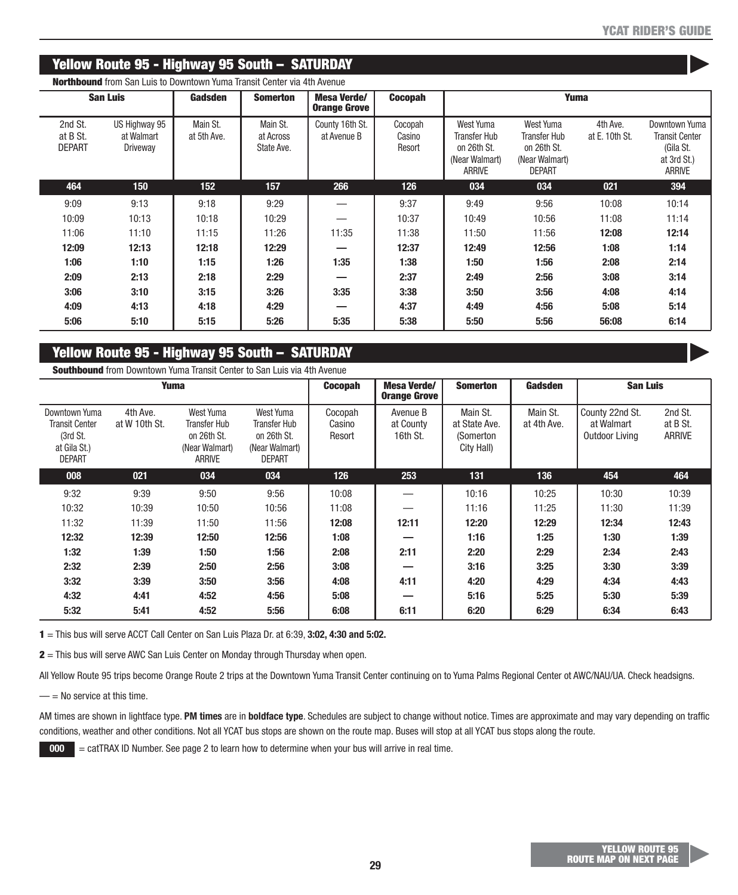$\blacktriangleright$ 

 $\blacktriangleright$ 

## **Yellow Route 95 - Highway 95 South – SATURDAY**

| <b>San Luis</b>                      |                                         | Gadsden                 | <b>Somerton</b>                     | <b>Mesa Verde/</b><br><b>Orange Grove</b> | <b>Cocopah</b>              | Yuma                                                                               |                                                                                    |                            |                                                                                     |
|--------------------------------------|-----------------------------------------|-------------------------|-------------------------------------|-------------------------------------------|-----------------------------|------------------------------------------------------------------------------------|------------------------------------------------------------------------------------|----------------------------|-------------------------------------------------------------------------------------|
| 2nd St.<br>at B St.<br><b>DEPART</b> | US Highway 95<br>at Walmart<br>Driveway | Main St.<br>at 5th Ave. | Main St.<br>at Across<br>State Ave. | County 16th St.<br>at Avenue B            | Cocopah<br>Casino<br>Resort | West Yuma<br><b>Transfer Hub</b><br>on 26th St.<br>(Near Walmart)<br><b>ARRIVE</b> | West Yuma<br><b>Transfer Hub</b><br>on 26th St.<br>(Near Walmart)<br><b>DEPART</b> | 4th Ave.<br>at E. 10th St. | Downtown Yuma<br><b>Transit Center</b><br>(Gila St.<br>at 3rd St.)<br><b>ARRIVE</b> |
| 464                                  | 150                                     | 152                     | 157                                 | 266                                       | 126                         | 034                                                                                | 034                                                                                | 021                        | 394                                                                                 |
| 9:09                                 | 9:13                                    | 9:18                    | 9:29                                |                                           | 9:37                        | 9:49                                                                               | 9:56                                                                               | 10:08                      | 10:14                                                                               |
| 10:09                                | 10:13                                   | 10:18                   | 10:29                               |                                           | 10:37                       | 10:49                                                                              | 10:56                                                                              | 11:08                      | 11:14                                                                               |
| 11:06                                | 11:10                                   | 11:15                   | 11:26                               | 11:35                                     | 11:38                       | 11:50                                                                              | 11:56                                                                              | 12:08                      | 12:14                                                                               |
| 12:09                                | 12:13                                   | 12:18                   | 12:29                               | –                                         | 12:37                       | 12:49                                                                              | 12:56                                                                              | 1:08                       | 1:14                                                                                |
| 1:06                                 | 1:10                                    | 1:15                    | 1:26                                | 1:35                                      | 1:38                        | 1:50                                                                               | 1:56                                                                               | 2:08                       | 2:14                                                                                |
| 2:09                                 | 2:13                                    | 2:18                    | 2:29                                | –                                         | 2:37                        | 2:49                                                                               | 2:56                                                                               | 3:08                       | 3:14                                                                                |
| 3:06                                 | 3:10                                    | 3:15                    | 3:26                                | 3:35                                      | 3:38                        | 3:50                                                                               | 3:56                                                                               | 4:08                       | 4:14                                                                                |
| 4:09                                 | 4:13                                    | 4:18                    | 4:29                                | –                                         | 4:37                        | 4:49                                                                               | 4:56                                                                               | 5:08                       | 5:14                                                                                |
| 5:06                                 | 5:10                                    | 5:15                    | 5:26                                | 5:35                                      | 5:38                        | 5:50                                                                               | 5:56                                                                               | 56:08                      | 6:14                                                                                |

**Northbound** from San Luis to Downtown Yuma Transit Center via 4th Avenue

# **Yellow Route 95 - Highway 95 South – SATURDAY**

**Southbound** from Downtown Yuma Transit Center to San Luis via 4th Avenue

| Yuma                                                                                |                           |                                                                             |                                                                             | <b>Cocopah</b>              | Mesa Verde/<br><b>Orange Grove</b> | <b>Somerton</b>                                      | Gadsden                 | <b>San Luis</b>                                 |                                      |
|-------------------------------------------------------------------------------------|---------------------------|-----------------------------------------------------------------------------|-----------------------------------------------------------------------------|-----------------------------|------------------------------------|------------------------------------------------------|-------------------------|-------------------------------------------------|--------------------------------------|
| Downtown Yuma<br><b>Transit Center</b><br>(3rd St.<br>at Gila St.)<br><b>DEPART</b> | 4th Ave.<br>at W 10th St. | West Yuma<br>Transfer Hub<br>on 26th St.<br>(Near Walmart)<br><b>ARRIVE</b> | West Yuma<br>Transfer Hub<br>on 26th St.<br>(Near Walmart)<br><b>DEPART</b> | Cocopah<br>Casino<br>Resort | Avenue B<br>at County<br>16th St.  | Main St.<br>at State Ave.<br>(Somerton<br>City Hall) | Main St.<br>at 4th Ave. | County 22nd St.<br>at Walmart<br>Outdoor Living | 2nd St.<br>at B St.<br><b>ARRIVE</b> |
| 008                                                                                 | 021                       | 034                                                                         | 034                                                                         | 126                         | 253                                | 131                                                  | 136                     | 454                                             | 464                                  |
| 9:32                                                                                | 9:39                      | 9:50                                                                        | 9:56                                                                        | 10:08                       |                                    | 10:16                                                | 10:25                   | 10:30                                           | 10:39                                |
| 10:32                                                                               | 10:39                     | 10:50                                                                       | 10:56                                                                       | 11:08                       |                                    | 11:16                                                | 11:25                   | 11:30                                           | 11:39                                |
| 11:32                                                                               | 11:39                     | 11:50                                                                       | 11:56                                                                       | 12:08                       | 12:11                              | 12:20                                                | 12:29                   | 12:34                                           | 12:43                                |
| 12:32                                                                               | 12:39                     | 12:50                                                                       | 12:56                                                                       | 1:08                        |                                    | 1:16                                                 | 1:25                    | 1:30                                            | 1:39                                 |
| 1:32                                                                                | 1:39                      | 1:50                                                                        | 1:56                                                                        | 2:08                        | 2:11                               | 2:20                                                 | 2:29                    | 2:34                                            | 2:43                                 |
| 2:32                                                                                | 2:39                      | 2:50                                                                        | 2:56                                                                        | 3:08                        |                                    | 3:16                                                 | 3:25                    | 3:30                                            | 3:39                                 |
| 3:32                                                                                | 3:39                      | 3:50                                                                        | 3:56                                                                        | 4:08                        | 4:11                               | 4:20                                                 | 4:29                    | 4:34                                            | 4:43                                 |
| 4:32                                                                                | 4:41                      | 4:52                                                                        | 4:56                                                                        | 5:08                        |                                    | 5:16                                                 | 5:25                    | 5:30                                            | 5:39                                 |
| 5:32                                                                                | 5:41                      | 4:52                                                                        | 5:56                                                                        | 6:08                        | 6:11                               | 6:20                                                 | 6:29                    | 6:34                                            | 6:43                                 |

**1** = This bus will serve ACCT Call Center on San Luis Plaza Dr. at 6:39, **3:02, 4:30 and 5:02.**

**2** = This bus will serve AWC San Luis Center on Monday through Thursday when open.

All Yellow Route 95 trips become Orange Route 2 trips at the Downtown Yuma Transit Center continuing on to Yuma Palms Regional Center ot AWC/NAU/UA. Check headsigns.

 $=$  = No service at this time.

AM times are shown in lightface type. **PM times** are in **boldface type**. Schedules are subject to change without notice. Times are approximate and may vary depending on traffic conditions, weather and other conditions. Not all YCAT bus stops are shown on the route map. Buses will stop at all YCAT bus stops along the route.

**000** = catTRAX ID Number. See page 2 to learn how to determine when your bus will arrive in real time.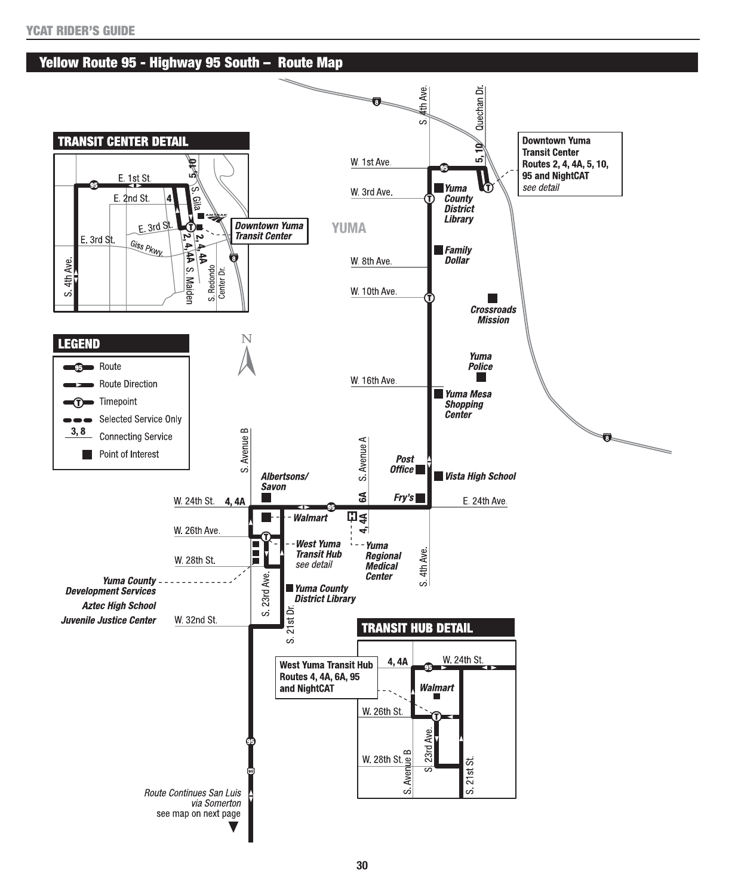#### **Yellow Route 95 - Highway 95 South – Route Map**